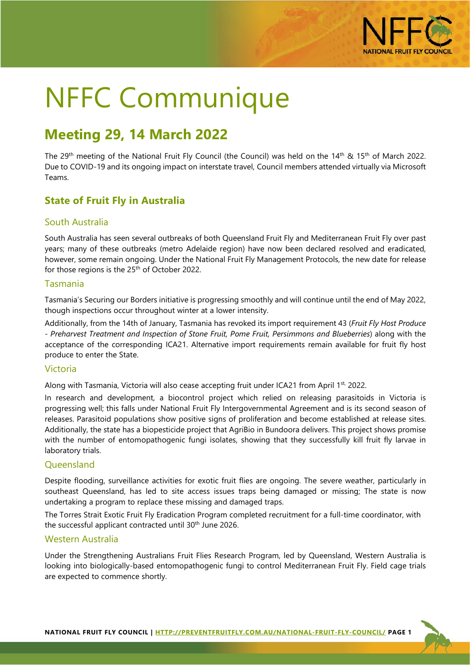

# NFFC Communique

# **Meeting 29, 14 March 2022**

The 29<sup>th</sup> meeting of the National Fruit Fly Council (the Council) was held on the 14<sup>th</sup> & 15<sup>th</sup> of March 2022. Due to COVID-19 and its ongoing impact on interstate travel, Council members attended virtually via Microsoft Teams.

# **State of Fruit Fly in Australia**

#### South Australia

South Australia has seen several outbreaks of both Queensland Fruit Fly and Mediterranean Fruit Fly over past years; many of these outbreaks (metro Adelaide region) have now been declared resolved and eradicated, however, some remain ongoing. Under the National Fruit Fly Management Protocols, the new date for release for those regions is the  $25<sup>th</sup>$  of October 2022.

#### Tasmania

Tasmania's Securing our Borders initiative is progressing smoothly and will continue until the end of May 2022, though inspections occur throughout winter at a lower intensity.

Additionally, from the 14th of January, Tasmania has revoked its import requirement 43 (*Fruit Fly Host Produce - Preharvest Treatment and Inspection of Stone Fruit, Pome Fruit, Persimmons and Blueberries*) along with the acceptance of the corresponding ICA21. Alternative import requirements remain available for fruit fly host produce to enter the State.

#### Victoria

Along with Tasmania, Victoria will also cease accepting fruit under ICA21 from April 1st, 2022.

In research and development, a biocontrol project which relied on releasing parasitoids in Victoria is progressing well; this falls under National Fruit Fly Intergovernmental Agreement and is its second season of releases. Parasitoid populations show positive signs of proliferation and become established at release sites. Additionally, the state has a biopesticide project that AgriBio in Bundoora delivers. This project shows promise with the number of entomopathogenic fungi isolates, showing that they successfully kill fruit fly larvae in laboratory trials.

#### **Oueensland**

Despite flooding, surveillance activities for exotic fruit flies are ongoing. The severe weather, particularly in southeast Queensland, has led to site access issues traps being damaged or missing; The state is now undertaking a program to replace these missing and damaged traps.

The Torres Strait Exotic Fruit Fly Eradication Program completed recruitment for a full-time coordinator, with the successful applicant contracted until 30<sup>th</sup> June 2026.

#### Western Australia

Under the Strengthening Australians Fruit Flies Research Program, led by Queensland, Western Australia is looking into biologically-based entomopathogenic fungi to control Mediterranean Fruit Fly. Field cage trials are expected to commence shortly.